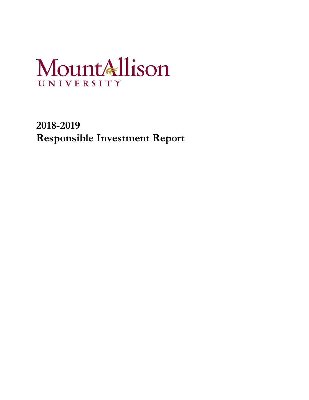# MountAllison UNIVERSITY

**2018-2019 Responsible Investment Report**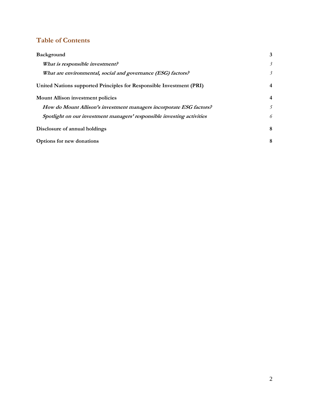# **Table of Contents**

| Background                                                             | 3              |  |
|------------------------------------------------------------------------|----------------|--|
| What is responsible investment?                                        | $\mathfrak{Z}$ |  |
| What are environmental, social and governance (ESG) factors?           | 3              |  |
| United Nations supported Principles for Responsible Investment (PRI)   | $\overline{4}$ |  |
| <b>Mount Allison investment policies</b>                               |                |  |
| How do Mount Allison's investment managers incorporate ESG factors?    | 5              |  |
| Spotlight on our investment managers' responsible investing activities | 6              |  |
| Disclosure of annual holdings                                          |                |  |
| Options for new donations                                              |                |  |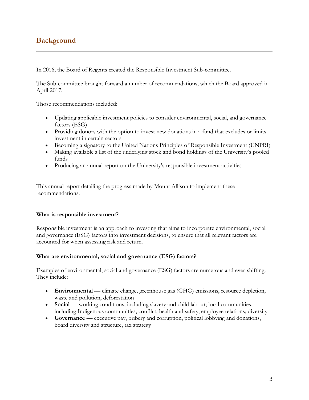# <span id="page-2-0"></span>**Background**

In 2016, the Board of Regents created the Responsible Investment Sub-committee.

The Sub-committee brought forward a number of recommendations, which the Board approved in April 2017.

Those recommendations included:

- Updating applicable investment policies to consider environmental, social, and governance factors (ESG)
- Providing donors with the option to invest new donations in a fund that excludes or limits investment in certain sectors
- Becoming a signatory to the United Nations Principles of Responsible Investment (UNPRI)
- Making available a list of the underlying stock and bond holdings of the University's pooled funds
- Producing an annual report on the University's responsible investment activities

This annual report detailing the progress made by Mount Allison to implement these recommendations.

### <span id="page-2-1"></span>**What is responsible investment?**

Responsible investment is an approach to investing that aims to incorporate environmental, social and governance (ESG) factors into investment decisions, to ensure that all relevant factors are accounted for when assessing risk and return.

### <span id="page-2-2"></span>**What are environmental, social and governance (ESG) factors?**

Examples of environmental, social and governance (ESG) factors are numerous and ever-shifting. They include:

- **Environmental** climate change, greenhouse gas (GHG) emissions, resource depletion, waste and pollution, deforestation
- **Social** working conditions, including slavery and child labour; local communities, including Indigenous communities; conflict; health and safety; employee relations; diversity
- **Governance** executive pay, bribery and corruption, political lobbying and donations, board diversity and structure, tax strategy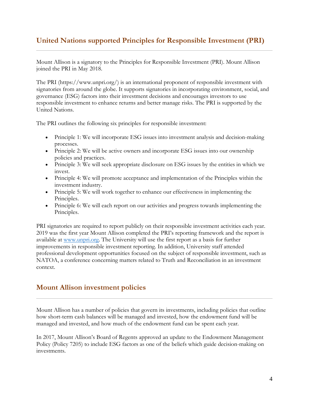## <span id="page-3-0"></span>**United Nations supported Principles for Responsible Investment (PRI)**

Mount Allison is a signatory to the Principles for Responsible Investment (PRI). Mount Allison joined the PRI in May 2018.

The PRI (https://www.unpri.org/) is an international proponent of responsible investment with signatories from around the globe. It supports signatories in incorporating environment, social, and governance (ESG) factors into their investment decisions and encourages investors to use responsible investment to enhance returns and better manage risks. The PRI is supported by the United Nations.

The PRI outlines the following six principles for responsible investment:

- Principle 1: We will incorporate ESG issues into investment analysis and decision-making processes.
- Principle 2: We will be active owners and incorporate ESG issues into our ownership policies and practices.
- Principle 3: We will seek appropriate disclosure on ESG issues by the entities in which we invest.
- Principle 4: We will promote acceptance and implementation of the Principles within the investment industry.
- Principle 5: We will work together to enhance our effectiveness in implementing the Principles.
- Principle 6: We will each report on our activities and progress towards implementing the Principles.

PRI signatories are required to report publicly on their responsible investment activities each year. 2019 was the first year Mount Allison completed the PRI's reporting framework and the report is available at [www.unpri.org.](http://www.unpri.org/) The University will use the first report as a basis for further improvements in responsible investment reporting. In addition, University staff attended professional development opportunities focused on the subject of responsible investment, such as NATOA, a conference concerning matters related to Truth and Reconciliation in an investment context.

## <span id="page-3-1"></span>**Mount Allison investment policies**

Mount Allison has a number of policies that govern its investments, including policies that outline how short-term cash balances will be managed and invested, how the endowment fund will be managed and invested, and how much of the endowment fund can be spent each year.

In 2017, Mount Allison's Board of Regents approved an update to the Endowment Management Policy (Policy 7205) to include ESG factors as one of the beliefs which guide decision-making on investments.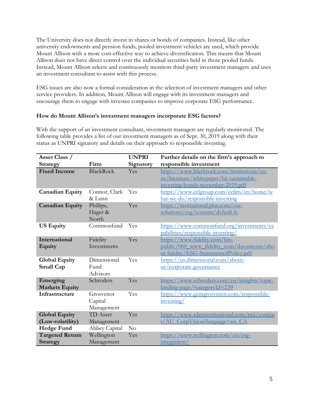The University does not directly invest in shares or bonds of companies. Instead, like other university endowments and pension funds, pooled investment vehicles are used, which provide Mount Allison with a more cost-effective way to achieve diversification. This means that Mount Allison does not have direct control over the individual securities held in those pooled funds. Instead, Mount Allison selects and continuously monitors third-party investment managers and uses an investment consultant to assist with this process.

ESG issues are also now a formal consideration in the selection of investment managers and other service providers. In addition, Mount Allison will engage with its investment managers and encourage them to engage with investee companies to improve corporate ESG performance.

### <span id="page-4-0"></span>**How do Mount Allison's investment managers incorporate ESG factors?**

With the support of an investment consultant, investment managers are regularly monitored. The following table provides a list of our investment managers as of Sept. 30, 2019 along with their status as UNPRI signatory and details on their approach to responsible investing.

| Asset Class /          |                 | <b>UNPRI</b> | Further details on the firm's approach to                                      |
|------------------------|-----------------|--------------|--------------------------------------------------------------------------------|
| Strategy               | Firm            | Signatory    | responsible investment                                                         |
| <b>Fixed Income</b>    | BlackRock       | Yes          | https://www.blackrock.com/institutions/en-                                     |
|                        |                 |              | us/literature/whitepaper/bii-sustainable-<br>investing-bonds-november-2019.pdf |
| <b>Canadian Equity</b> | Connor, Clark   | Yes          | https://www.cclgroup.com/cclim/en/home/w                                       |
|                        | & Lunn          |              | hat-we-do/responsible-investing                                                |
| <b>Canadian Equity</b> | Phillips,       | Yes          | https://institutional.phn.com/our-                                             |
|                        | Hager &         |              | solutions/esg/content/default.fs                                               |
|                        | North           |              |                                                                                |
| <b>US Equity</b>       | Commonfund      | Yes          | https://www.commonfund.org/investments/ca                                      |
|                        |                 |              | pabilities/responsible-investing/                                              |
| International          | Fidelity        | Yes          | https://www.fidelity.com/bin-                                                  |
| <b>Equity</b>          | Investments     |              | public/060 www fidelity com/documents/abo                                      |
|                        |                 |              | ut-fidelity/ESG-StatementofPolicy.pdf                                          |
| <b>Global Equity</b>   | Dimensional     | Yes          | https://us.dimensional.com/about-                                              |
| <b>Small Cap</b>       | Fund            |              | <u>us/corporate-governance</u>                                                 |
|                        | Advisors        |              |                                                                                |
| Emerging               | Schroders       | Yes          | https://www.schroders.com/en/insights/topic-                                   |
| <b>Markets Equity</b>  |                 |              | <u>landing-page/?categoryId=239</u>                                            |
| Infrastructure         | Grosvenor       | Yes          | https://www.gcmgrosvenor.com/responsible-                                      |
|                        | Capital         |              | investing/                                                                     |
|                        | Management      |              |                                                                                |
| <b>Global Equity</b>   | <b>TD</b> Asset | Yes          | https://www.tdaminstitutional.com/tmi/conten                                   |
| (Low-volatility)       | Management      |              | t/AU CorpVision?language=en CA                                                 |
| <b>Hedge Fund</b>      | Abbey Capital   | $\rm No$     |                                                                                |
| <b>Targeted Return</b> | Wellington      | Yes          | https://www.wellington.com/en/esg-                                             |
| <b>Strategy</b>        | Management      |              | integration/                                                                   |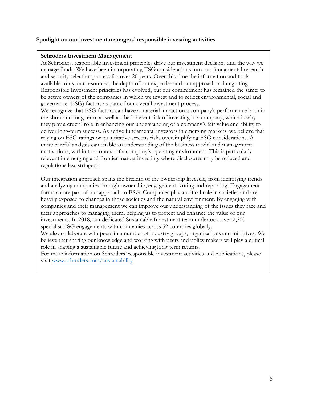## <span id="page-5-0"></span>**Spotlight on our investment managers' responsible investing activities**

#### **Schroders Investment Management**

At Schroders, responsible investment principles drive our investment decisions and the way we manage funds. We have been incorporating ESG considerations into our fundamental research and security selection process for over 20 years. Over this time the information and tools available to us, our resources, the depth of our expertise and our approach to integrating Responsible Investment principles has evolved, but our commitment has remained the same: to be active owners of the companies in which we invest and to reflect environmental, social and governance (ESG) factors as part of our overall investment process.

We recognize that ESG factors can have a material impact on a company's performance both in the short and long term, as well as the inherent risk of investing in a company, which is why they play a crucial role in enhancing our understanding of a company's fair value and ability to deliver long-term success. As active fundamental investors in emerging markets, we believe that relying on ESG ratings or quantitative screens risks oversimplifying ESG considerations. A more careful analysis can enable an understanding of the business model and management motivations, within the context of a company's operating environment. This is particularly relevant in emerging and frontier market investing, where disclosures may be reduced and regulations less stringent.

Our integration approach spans the breadth of the ownership lifecycle, from identifying trends and analyzing companies through ownership, engagement, voting and reporting. Engagement forms a core part of our approach to ESG. Companies play a critical role in societies and are heavily exposed to changes in those societies and the natural environment. By engaging with companies and their management we can improve our understanding of the issues they face and their approaches to managing them, helping us to protect and enhance the value of our investments. In 2018, our dedicated Sustainable Investment team undertook over 2,200 specialist ESG engagements with companies across 52 countries globally.

We also collaborate with peers in a number of industry groups, organizations and initiatives. We believe that sharing our knowledge and working with peers and policy makers will play a critical role in shaping a sustainable future and achieving long-term returns.

For more information on Schroders' responsible investment activities and publications, please visit [www.schroders.com/sustainability](http://www.schroders.com/sustainability)